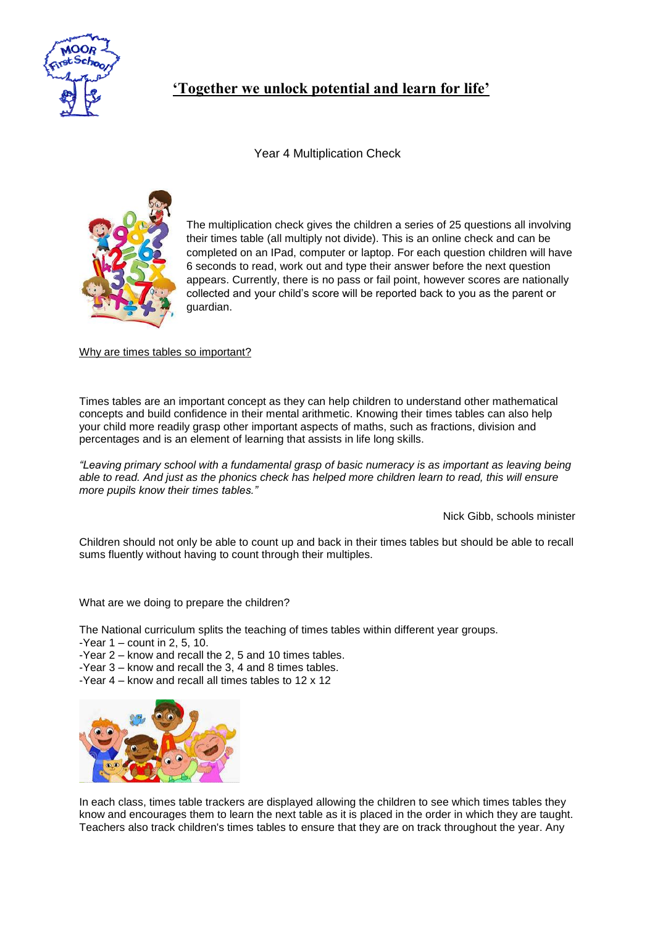

## **'Together we unlock potential and learn for life'**

Year 4 Multiplication Check



The multiplication check gives the children a series of 25 questions all involving their times table (all multiply not divide). This is an online check and can be completed on an IPad, computer or laptop. For each question children will have 6 seconds to read, work out and type their answer before the next question appears. Currently, there is no pass or fail point, however scores are nationally collected and your child's score will be reported back to you as the parent or guardian.

Why are times tables so important?

Times tables are an important concept as they can help children to understand other mathematical concepts and build confidence in their mental arithmetic. Knowing their times tables can also help your child more readily grasp other important aspects of maths, such as fractions, division and percentages and is an element of learning that assists in life long skills.

*"Leaving primary school with a fundamental grasp of basic numeracy is as important as leaving being* able to read. And just as the phonics check has helped more children learn to read, this will ensure *more pupils know their times tables."*

Nick Gibb, schools minister

Children should not only be able to count up and back in their times tables but should be able to recall sums fluently without having to count through their multiples.

What are we doing to prepare the children?

The National curriculum splits the teaching of times tables within different year groups.

- -Year  $1$  count in 2, 5, 10.
- -Year 2 know and recall the 2, 5 and 10 times tables.
- -Year 3 know and recall the 3, 4 and 8 times tables.
- -Year 4 know and recall all times tables to 12 x 12



In each class, times table trackers are displayed allowing the children to see which times tables they know and encourages them to learn the next table as it is placed in the order in which they are taught. Teachers also track children's times tables to ensure that they are on track throughout the year. Any